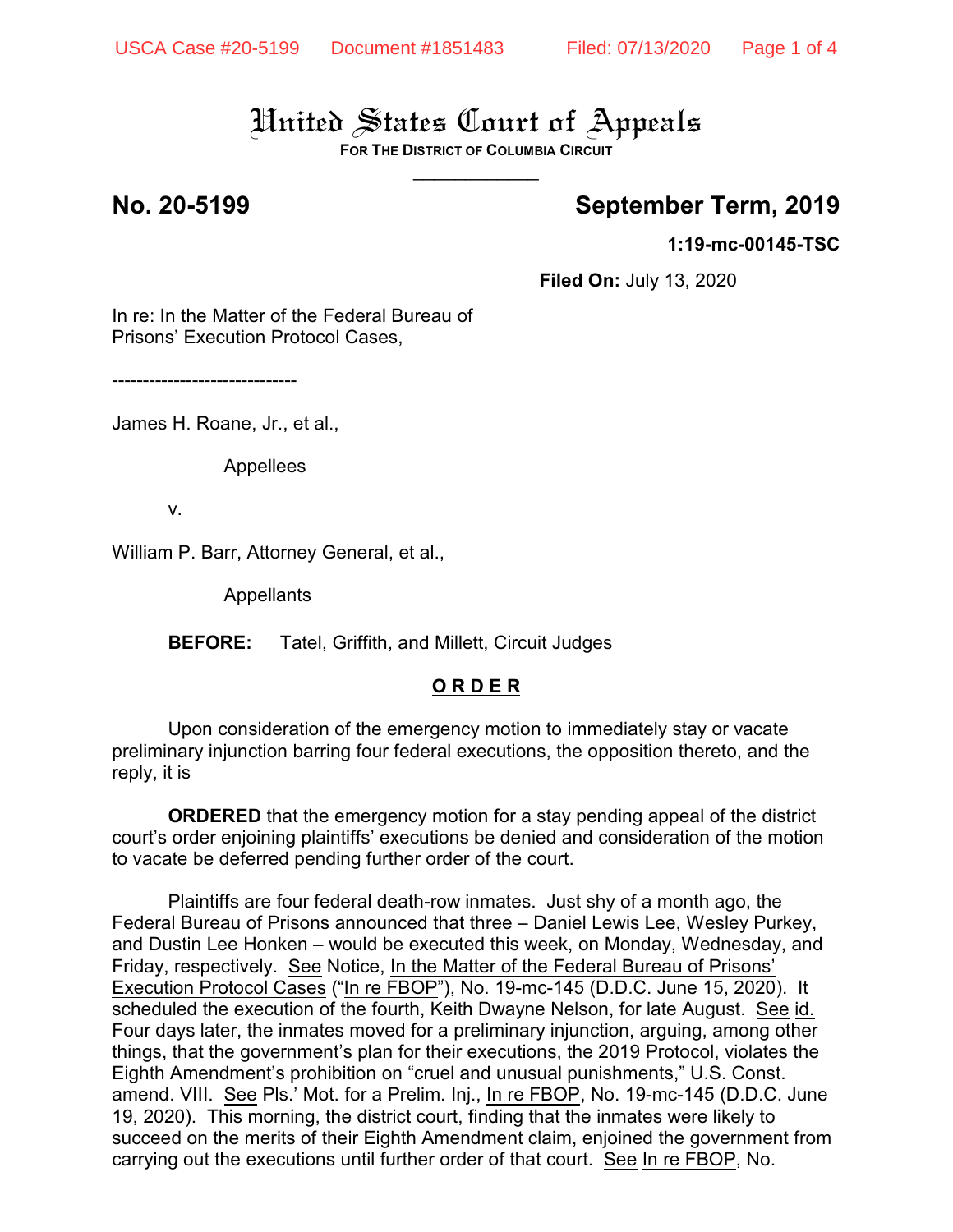**FOR THE DISTRICT OF COLUMBIA CIRCUIT**  $\overline{\phantom{a}}$ 

### **No. 20-5199 September Term, 2019**

**1:19-mc-00145-TSC**

**Filed On:** July 13, 2020

In re: In the Matter of the Federal Bureau of Prisons' Execution Protocol Cases,

------------------------------

James H. Roane, Jr., et al.,

Appellees

v.

William P. Barr, Attorney General, et al.,

Appellants

**BEFORE:** Tatel, Griffith, and Millett, Circuit Judges

### **O R D E R**

Upon consideration of the emergency motion to immediately stay or vacate preliminary injunction barring four federal executions, the opposition thereto, and the reply, it is

**ORDERED** that the emergency motion for a stay pending appeal of the district court's order enjoining plaintiffs' executions be denied and consideration of the motion to vacate be deferred pending further order of the court.

Plaintiffs are four federal death-row inmates. Just shy of a month ago, the Federal Bureau of Prisons announced that three – Daniel Lewis Lee, Wesley Purkey, and Dustin Lee Honken – would be executed this week, on Monday, Wednesday, and Friday, respectively. See Notice, In the Matter of the Federal Bureau of Prisons' Execution Protocol Cases ("In re FBOP"), No. 19-mc-145 (D.D.C. June 15, 2020). It scheduled the execution of the fourth, Keith Dwayne Nelson, for late August. See id. Four days later, the inmates moved for a preliminary injunction, arguing, among other things, that the government's plan for their executions, the 2019 Protocol, violates the Eighth Amendment's prohibition on "cruel and unusual punishments," U.S. Const. amend. VIII. See Pls.' Mot. for a Prelim. Inj., In re FBOP, No. 19-mc-145 (D.D.C. June 19, 2020). This morning, the district court, finding that the inmates were likely to succeed on the merits of their Eighth Amendment claim, enjoined the government from carrying out the executions until further order of that court. See In re FBOP, No.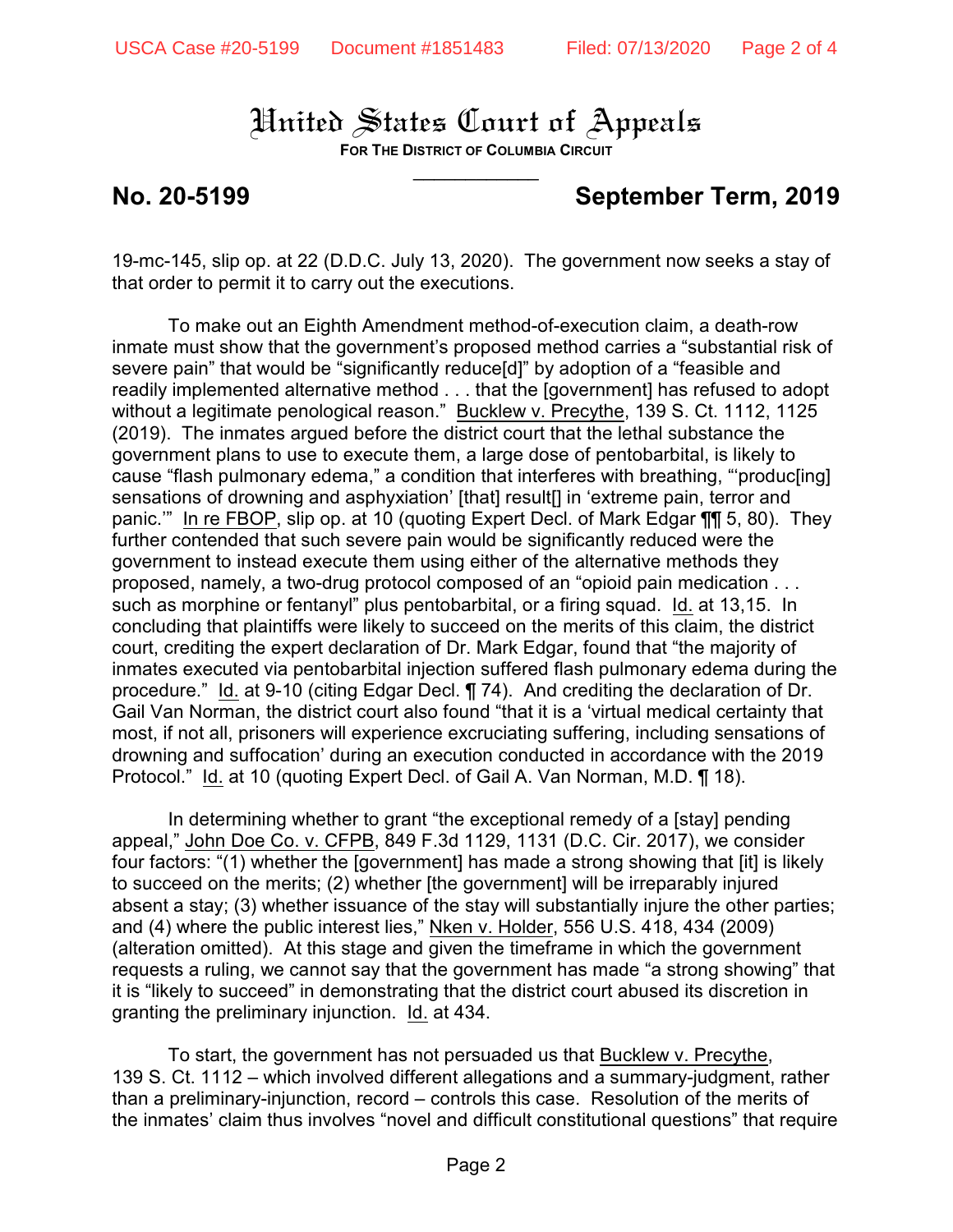**FOR THE DISTRICT OF COLUMBIA CIRCUIT**  $\overline{\phantom{a}}$ 

## **No. 20-5199 September Term, 2019**

19-mc-145, slip op. at 22 (D.D.C. July 13, 2020). The government now seeks a stay of that order to permit it to carry out the executions.

To make out an Eighth Amendment method-of-execution claim, a death-row inmate must show that the government's proposed method carries a "substantial risk of severe pain" that would be "significantly reduce[d]" by adoption of a "feasible and readily implemented alternative method . . . that the [government] has refused to adopt without a legitimate penological reason." Bucklew v. Precythe, 139 S. Ct. 1112, 1125 (2019). The inmates argued before the district court that the lethal substance the government plans to use to execute them, a large dose of pentobarbital, is likely to cause "flash pulmonary edema," a condition that interferes with breathing, "'produc[ing] sensations of drowning and asphyxiation' [that] result[] in 'extreme pain, terror and panic.'" In re FBOP, slip op. at 10 (quoting Expert Decl. of Mark Edgar ¶¶ 5, 80). They further contended that such severe pain would be significantly reduced were the government to instead execute them using either of the alternative methods they proposed, namely, a two-drug protocol composed of an "opioid pain medication . . . such as morphine or fentanyl" plus pentobarbital, or a firing squad. Id. at 13,15. In concluding that plaintiffs were likely to succeed on the merits of this claim, the district court, crediting the expert declaration of Dr. Mark Edgar, found that "the majority of inmates executed via pentobarbital injection suffered flash pulmonary edema during the procedure." Id. at 9-10 (citing Edgar Decl. ¶ 74). And crediting the declaration of Dr. Gail Van Norman, the district court also found "that it is a 'virtual medical certainty that most, if not all, prisoners will experience excruciating suffering, including sensations of drowning and suffocation' during an execution conducted in accordance with the 2019 Protocol." Id. at 10 (quoting Expert Decl. of Gail A. Van Norman, M.D. ¶ 18).

In determining whether to grant "the exceptional remedy of a [stay] pending appeal," John Doe Co. v. CFPB, 849 F.3d 1129, 1131 (D.C. Cir. 2017), we consider four factors: "(1) whether the [government] has made a strong showing that [it] is likely to succeed on the merits; (2) whether [the government] will be irreparably injured absent a stay; (3) whether issuance of the stay will substantially injure the other parties; and (4) where the public interest lies," Nken v. Holder, 556 U.S. 418, 434 (2009) (alteration omitted). At this stage and given the timeframe in which the government requests a ruling, we cannot say that the government has made "a strong showing" that it is "likely to succeed" in demonstrating that the district court abused its discretion in granting the preliminary injunction. Id. at 434.

To start, the government has not persuaded us that Bucklew v. Precythe, 139 S. Ct. 1112 – which involved different allegations and a summary-judgment, rather than a preliminary-injunction, record – controls this case. Resolution of the merits of the inmates' claim thus involves "novel and difficult constitutional questions" that require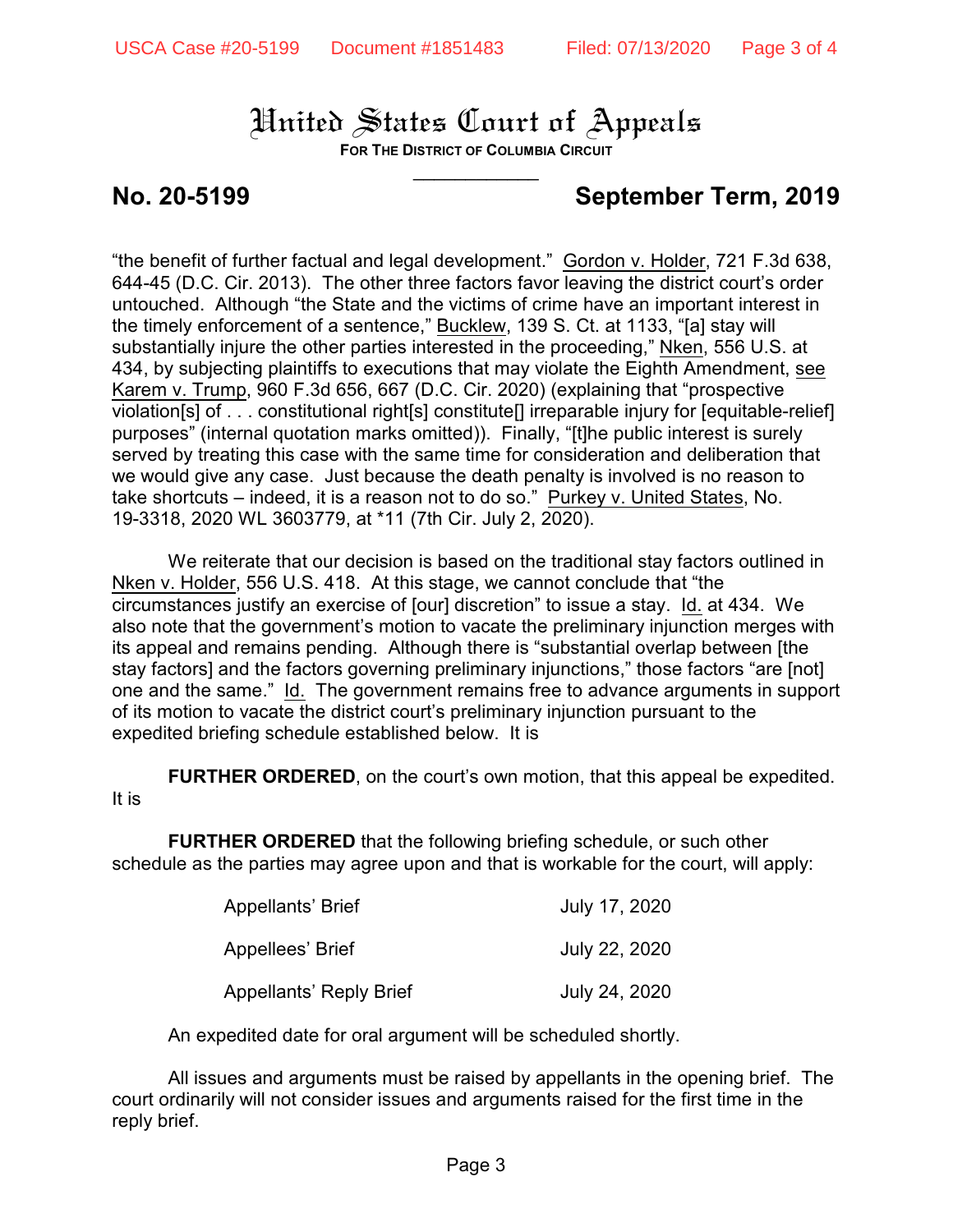**FOR THE DISTRICT OF COLUMBIA CIRCUIT**  $\overline{\phantom{a}}$ 

## **No. 20-5199 September Term, 2019**

"the benefit of further factual and legal development." Gordon v. Holder, 721 F.3d 638, 644-45 (D.C. Cir. 2013). The other three factors favor leaving the district court's order untouched. Although "the State and the victims of crime have an important interest in the timely enforcement of a sentence," Bucklew, 139 S. Ct. at 1133, "[a] stay will substantially injure the other parties interested in the proceeding," Nken, 556 U.S. at 434, by subjecting plaintiffs to executions that may violate the Eighth Amendment, see Karem v. Trump, 960 F.3d 656, 667 (D.C. Cir. 2020) (explaining that "prospective violation[s] of . . . constitutional right[s] constitute[] irreparable injury for [equitable-relief] purposes" (internal quotation marks omitted)). Finally, "[t]he public interest is surely served by treating this case with the same time for consideration and deliberation that we would give any case. Just because the death penalty is involved is no reason to take shortcuts – indeed, it is a reason not to do so." Purkey v. United States, No. 19-3318, 2020 WL 3603779, at \*11 (7th Cir. July 2, 2020).

We reiterate that our decision is based on the traditional stay factors outlined in Nken v. Holder, 556 U.S. 418. At this stage, we cannot conclude that "the circumstances justify an exercise of [our] discretion" to issue a stay. Id. at 434. We also note that the government's motion to vacate the preliminary injunction merges with its appeal and remains pending. Although there is "substantial overlap between [the stay factors] and the factors governing preliminary injunctions," those factors "are [not] one and the same." Id. The government remains free to advance arguments in support of its motion to vacate the district court's preliminary injunction pursuant to the expedited briefing schedule established below. It is

**FURTHER ORDERED, on the court's own motion, that this appeal be expedited.** It is

**FURTHER ORDERED** that the following briefing schedule, or such other schedule as the parties may agree upon and that is workable for the court, will apply:

| Appellants' Brief              | July 17, 2020 |
|--------------------------------|---------------|
| Appellees' Brief               | July 22, 2020 |
| <b>Appellants' Reply Brief</b> | July 24, 2020 |

An expedited date for oral argument will be scheduled shortly.

All issues and arguments must be raised by appellants in the opening brief. The court ordinarily will not consider issues and arguments raised for the first time in the reply brief.